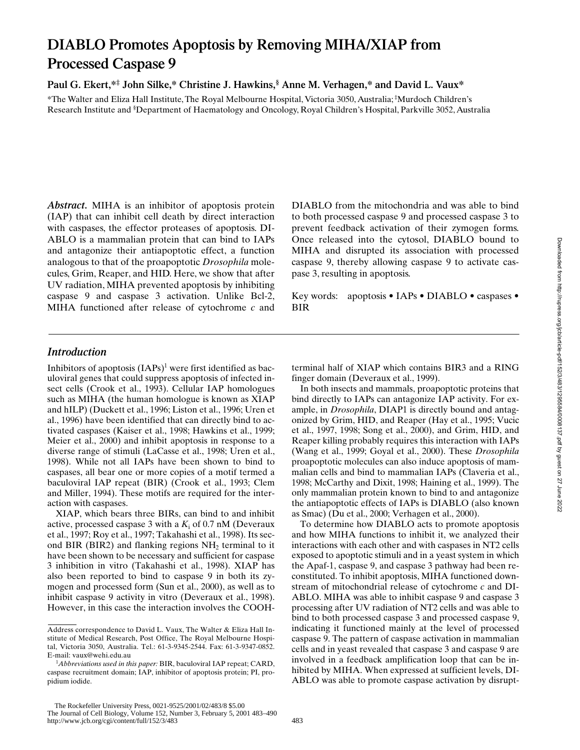# **DIABLO Promotes Apoptosis by Removing MIHA/XIAP from Processed Caspase 9**

**Paul G. Ekert,\*‡ John Silke,\* Christine J. Hawkins,§ Anne M. Verhagen,\* and David L. Vaux\***

\*The Walter and Eliza Hall Institute, The Royal Melbourne Hospital, Victoria 3050, Australia; ‡ Murdoch Children's Research Institute and § Department of Haematology and Oncology, Royal Children's Hospital, Parkville 3052, Australia

*Abstract.* MIHA is an inhibitor of apoptosis protein (IAP) that can inhibit cell death by direct interaction with caspases, the effector proteases of apoptosis. DI-ABLO is a mammalian protein that can bind to IAPs and antagonize their antiapoptotic effect, a function analogous to that of the proapoptotic *Drosophila* molecules, Grim, Reaper, and HID. Here, we show that after UV radiation, MIHA prevented apoptosis by inhibiting caspase 9 and caspase 3 activation. Unlike Bcl-2, MIHA functioned after release of cytochrome *c* and

DIABLO from the mitochondria and was able to bind to both processed caspase 9 and processed caspase 3 to prevent feedback activation of their zymogen forms. Once released into the cytosol, DIABLO bound to MIHA and disrupted its association with processed caspase 9, thereby allowing caspase 9 to activate caspase 3, resulting in apoptosis.

Key words: apoptosis • IAPs • DIABLO • caspases • BIR

# *Introduction*

Inhibitors of apoptosis  $(IAPs)^1$  were first identified as baculoviral genes that could suppress apoptosis of infected insect cells (Crook et al., 1993). Cellular IAP homologues such as MIHA (the human homologue is known as XIAP and hILP) (Duckett et al., 1996; Liston et al., 1996; Uren et al., 1996) have been identified that can directly bind to activated caspases (Kaiser et al., 1998; Hawkins et al., 1999; Meier et al., 2000) and inhibit apoptosis in response to a diverse range of stimuli (LaCasse et al., 1998; Uren et al., 1998). While not all IAPs have been shown to bind to caspases, all bear one or more copies of a motif termed a baculoviral IAP repeat (BIR) (Crook et al., 1993; Clem and Miller, 1994). These motifs are required for the interaction with caspases.

XIAP, which bears three BIRs, can bind to and inhibit active, processed caspase 3 with a *K*<sup>i</sup> of 0.7 nM (Deveraux et al., 1997; Roy et al., 1997; Takahashi et al., 1998). Its second BIR (BIR2) and flanking regions  $NH<sub>2</sub>$  terminal to it have been shown to be necessary and sufficient for caspase 3 inhibition in vitro (Takahashi et al., 1998). XIAP has also been reported to bind to caspase 9 in both its zymogen and processed form (Sun et al., 2000), as well as to inhibit caspase 9 activity in vitro (Deveraux et al., 1998). However, in this case the interaction involves the COOH- terminal half of XIAP which contains BIR3 and a RING finger domain (Deveraux et al., 1999).

In both insects and mammals, proapoptotic proteins that bind directly to IAPs can antagonize IAP activity. For example, in *Drosophila*, DIAP1 is directly bound and antagonized by Grim, HID, and Reaper (Hay et al., 1995; Vucic et al., 1997, 1998; Song et al., 2000), and Grim, HID, and Reaper killing probably requires this interaction with IAPs (Wang et al., 1999; Goyal et al., 2000). These *Drosophila* proapoptotic molecules can also induce apoptosis of mammalian cells and bind to mammalian IAPs (Claveria et al., 1998; McCarthy and Dixit, 1998; Haining et al., 1999). The only mammalian protein known to bind to and antagonize the antiapoptotic effects of IAPs is DIABLO (also known as Smac) (Du et al., 2000; Verhagen et al., 2000).

To determine how DIABLO acts to promote apoptosis and how MIHA functions to inhibit it, we analyzed their interactions with each other and with caspases in NT2 cells exposed to apoptotic stimuli and in a yeast system in which the Apaf-1, caspase 9, and caspase 3 pathway had been reconstituted. To inhibit apoptosis, MIHA functioned downstream of mitochondrial release of cytochrome *c* and DI-ABLO. MIHA was able to inhibit caspase 9 and caspase 3 processing after UV radiation of NT2 cells and was able to bind to both processed caspase 3 and processed caspase 9, indicating it functioned mainly at the level of processed caspase 9. The pattern of caspase activation in mammalian cells and in yeast revealed that caspase 3 and caspase 9 are involved in a feedback amplification loop that can be inhibited by MIHA. When expressed at sufficient levels, DI-ABLO was able to promote caspase activation by disrupt-

Address correspondence to David L. Vaux, The Walter & Eliza Hall Institute of Medical Research, Post Office, The Royal Melbourne Hospital, Victoria 3050, Australia. Tel.: 61-3-9345-2544. Fax: 61-3-9347-0852. E-mail: vaux@wehi.edu.au

<sup>&</sup>lt;sup>1</sup>Abbreviations used in this paper: BIR, baculoviral IAP repeat; CARD, caspase recruitment domain; IAP, inhibitor of apoptosis protein; PI, propidium iodide.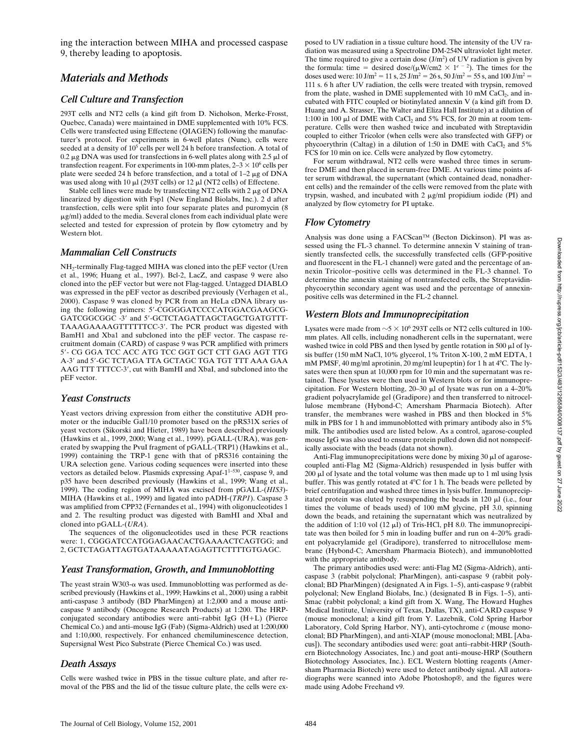ing the interaction between MIHA and processed caspase 9, thereby leading to apoptosis.

## *Materials and Methods*

#### *Cell Culture and Transfection*

293T cells and NT2 cells (a kind gift from D. Nicholson, Merke-Frosst, Quebec, Canada) were maintained in DME supplemented with 10% FCS. Cells were transfected using Effectene (QIAGEN) following the manufacturer's protocol. For experiments in 6-well plates (Nunc), cells were seeded at a density of 10<sup>5</sup> cells per well 24 h before transfection. A total of 0.2  $\mu$ g DNA was used for transfections in 6-well plates along with 2.5  $\mu$ l of transfection reagent. For experiments in 100-mm plates,  $2-3 \times 10^6$  cells per plate were seeded 24 h before transfection, and a total of  $1-2 \mu g$  of DNA was used along with 10  $\mu$ l (293T cells) or 12  $\mu$ l (NT2 cells) of Effectene.

Stable cell lines were made by transfecting NT2 cells with  $2 \mu$ g of DNA linearized by digestion with Fsp1 (New England Biolabs, Inc.). 2 d after transfection, cells were split into four separate plates and puromycin (8 mg/ml) added to the media. Several clones from each individual plate were selected and tested for expression of protein by flow cytometry and by Western blot.

#### *Mammalian Cell Constructs*

NH2-terminally Flag-tagged MIHA was cloned into the pEF vector (Uren et al., 1996; Huang et al., 1997). Bcl-2, LacZ, and caspase 9 were also cloned into the pEF vector but were not Flag-tagged. Untagged DIABLO was expressed in the pEF vector as described previously (Verhagen et al., 2000). Caspase 9 was cloned by PCR from an HeLa cDNA library using the following primers: 5'-CGGGGATCCCCATGGACGAAGCG-GATCGGCGGC -3' and 5'-GCTCTAGATTAGCTAGCTGATGTTT-TAAAGAAAAGTTTTTTCC-3'. The PCR product was digested with BamH1 and Xba1 and subcloned into the pEF vector. The caspase recruitment domain (CARD) of caspase 9 was PCR amplified with primers 59- CG GGA TCC ACC ATG TCC GGT GCT CTT GAG AGT TTG A-3' and 5'-GC TCTAGA TTA GCTAGC TGA TGT TTT AAA GAA AAG TTT TTTCC-3', cut with BamHI and XbaI, and subcloned into the pEF vector.

#### *Yeast Constructs*

Yeast vectors driving expression from either the constitutive ADH promoter or the inducible Gal1/10 promoter based on the pRS31X series of yeast vectors (Sikorski and Hieter, 1989) have been described previously (Hawkins et al., 1999, 2000; Wang et al., 1999). pGALL-(URA), was generated by swapping the PvuI fragment of pGALL-(TRP1) (Hawkins et al., 1999) containing the TRP-1 gene with that of pRS316 containing the URA selection gene. Various coding sequences were inserted into these vectors as detailed below. Plasmids expressing Apaf-1<sup>1-530</sup>, caspase 9, and p35 have been described previously (Hawkins et al., 1999; Wang et al., 1999). The coding region of MIHA was excised from pGALL-(*HIS3*)- MIHA (Hawkins et al., 1999) and ligated into pADH-(*TRP1*). Caspase 3 was amplified from CPP32 (Fernandes et al., 1994) with oligonucleotides 1 and 2. The resulting product was digested with BamHI and XbaI and cloned into pGALL-(*URA*).

The sequences of the oligonucleotides used in these PCR reactions were: 1, CGGGATCCATGGAGAACACTGAAAACTCAGTGG; and 2, GCTCTAGATTAGTGATAAAAATAGAGTTCTTTTGTGAGC.

#### *Yeast Transformation, Growth, and Immunoblotting*

The yeast strain  $W303-\alpha$  was used. Immunoblotting was performed as described previously (Hawkins et al., 1999; Hawkins et al., 2000) using a rabbit anti-caspase 3 antibody (BD PharMingen) at 1:2,000 and a mouse anticaspase 9 antibody (Oncogene Research Products) at 1:200. The HRPconjugated secondary antibodies were anti-rabbit IgG (H+L) (Pierce Chemical Co.) and anti–mouse IgG (Fab) (Sigma-Aldrich) used at 1:200,000 and 1:10,000, respectively. For enhanced chemiluminescence detection, Supersignal West Pico Substrate (Pierce Chemical Co.) was used.

#### *Death Assays*

Cells were washed twice in PBS in the tissue culture plate, and after removal of the PBS and the lid of the tissue culture plate, the cells were exposed to UV radiation in a tissue culture hood. The intensity of the UV radiation was measured using a Spectroline DM-254N ultraviolet light meter. The time required to give a certain dose  $(J/m^2)$  of UV radiation is given by the formula: time = desired dose/( $\mu$ W/cm2  $\times$  1<sup>e - 2</sup>). The times for the doses used were: 10 J/m<sup>2</sup> = 11 s, 25 J/m<sup>2</sup> = 26 s, 50 J/m<sup>2</sup> = 55 s, and 100 J/m<sup>2</sup> = 111 s. 6 h after UV radiation, the cells were treated with trypsin, removed from the plate, washed in DME supplemented with  $10 \text{ mM } CaCl<sub>2</sub>$ , and incubated with FITC coupled or biotinylated annexin V (a kind gift from D. Huang and A. Strasser, The Walter and Eliza Hall Institute) at a dilution of 1:100 in 100  $\mu$ l of DME with CaCl<sub>2</sub> and 5% FCS, for 20 min at room temperature. Cells were then washed twice and incubated with Streptavidin coupled to either Tricolor (when cells were also transfected with GFP) or phycoerythrin (Caltag) in a dilution of 1:50 in DME with  $CaCl<sub>2</sub>$  and 5% FCS for 10 min on ice. Cells were analyzed by flow cytometry.

For serum withdrawal, NT2 cells were washed three times in serumfree DME and then placed in serum-free DME. At various time points after serum withdrawal, the supernatant (which contained dead, nonadherent cells) and the remainder of the cells were removed from the plate with trypsin, washed, and incubated with  $2 \mu g/ml$  propidium iodide (PI) and analyzed by flow cytometry for PI uptake.

#### *Flow Cytometry*

Analysis was done using a FACScan™ (Becton Dickinson). PI was assessed using the FL-3 channel. To determine annexin V staining of transiently transfected cells, the successfully transfected cells (GFP-positive and fluorescent in the FL-1 channel) were gated and the percentage of annexin Tricolor–positive cells was determined in the FL-3 channel. To determine the annexin staining of nontransfected cells, the Streptavidinphycoerythin secondary agent was used and the percentage of annexinpositive cells was determined in the FL-2 channel.

#### *Western Blots and Immunoprecipitation*

Lysates were made from  $\sim$ 5  $\times$  10<sup>6</sup> 293T cells or NT2 cells cultured in 100mm plates. All cells, including nonadherent cells in the supernatant, were washed twice in cold PBS and then lysed by gentle rotation in 500  $\mu$ l of lysis buffer (150 mM NaCl, 10% glycerol, 1% Triton X-100, 2 mM EDTA, 1 mM PMSF, 40 mg/ml aprotinin, 20 mg/ml leupeptin) for 1 h at  $4^{\circ}$ C. The lysates were then spun at 10,000 rpm for 10 min and the supernatant was retained. These lysates were then used in Western blots or for immunoprecipitation. For Western blotting,  $20-30$   $\mu$ l of lysate was run on a 4–20% gradient polyacrylamide gel (Gradipore) and then transferred to nitrocellulose membrane (Hybond-C; Amersham Pharmacia Biotech). After transfer, the membranes were washed in PBS and then blocked in 5% milk in PBS for 1 h and immunoblotted with primary antibody also in 5% milk. The antibodies used are listed below. As a control, agarose-coupled mouse IgG was also used to ensure protein pulled down did not nonspecifically associate with the beads (data not shown).

Anti-Flag immunoprecipitations were done by mixing  $30 \mu l$  of agarosecoupled anti-Flag M2 (Sigma-Aldrich) resuspended in lysis buffer with  $200 \mu$ l of lysate and the total volume was then made up to 1 ml using lysis buffer. This was gently rotated at  $4^{\circ}$ C for 1 h. The beads were pelleted by brief centrifugation and washed three times in lysis buffer. Immunoprecipitated protein was eluted by resuspending the beads in 120  $\mu$ l (i.e., four times the volume of beads used) of 100 mM glycine, pH 3.0, spinning down the beads, and retaining the supernatant which was neutralized by the addition of 1:10 vol  $(12 \mu I)$  of Tris-HCl, pH 8.0. The immunoprecipitate was then boiled for 5 min in loading buffer and run on 4–20% gradient polyacrylamide gel (Gradipore), transferred to nitrocellulose membrane (Hybond-C; Amersham Pharmacia Biotech), and immunoblotted with the appropriate antibody.

The primary antibodies used were: anti-Flag M2 (Sigma-Aldrich), anticaspase 3 (rabbit polyclonal; PharMingen), anti-caspase 9 (rabbit polyclonal; BD PharMingen) (designated A in Figs. 1–5), anti-caspase 9 (rabbit polyclonal; New England Biolabs, Inc.) (designated B in Figs. 1–5), anti-Smac (rabbit polyclonal; a kind gift from X. Wang, The Howard Hughes Medical Institute, University of Texas, Dallas, TX), anti-CARD caspase 9 (mouse monoclonal; a kind gift from Y. Lazebnik, Cold Spring Harbor Laboratory, Cold Spring Harbor, NY), anti-cytochrome *c* (mouse monoclonal; BD PharMingen), and anti-XIAP (mouse monoclonal; MBL [Abacus]). The secondary antibodies used were: goat anti–rabbit-HRP (Southern Biotechnology Associates, Inc.) and goat anti–mouse-HRP (Southern Biotechnology Associates, Inc.). ECL Western blotting reagents (Amersham Pharmacia Biotech) were used to detect antibody signal. All autoradiographs were scanned into Adobe Photoshop®, and the figures were made using Adobe Freehand v9.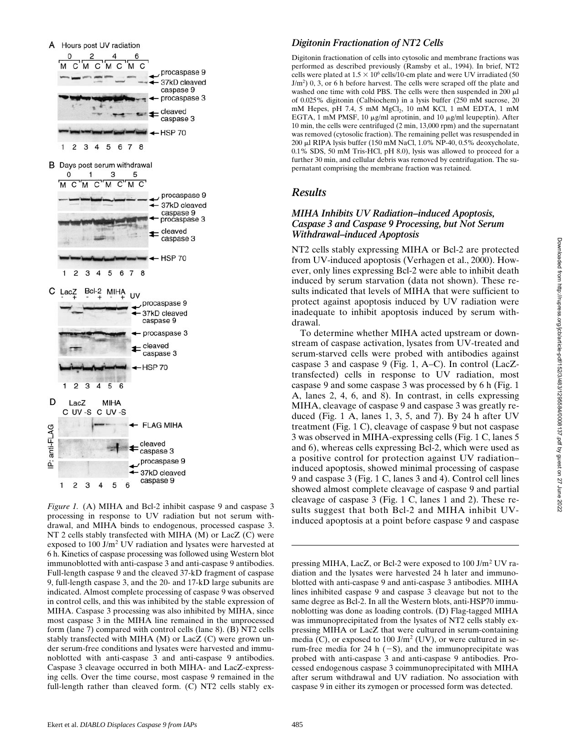

*Figure 1.* (A) MIHA and Bcl-2 inhibit caspase 9 and caspase 3 processing in response to UV radiation but not serum withdrawal, and MIHA binds to endogenous, processed caspase 3. NT 2 cells stably transfected with MIHA (M) or LacZ (C) were exposed to 100 J/m<sup>2</sup> UV radiation and lysates were harvested at 6 h. Kinetics of caspase processing was followed using Western blot immunoblotted with anti-caspase 3 and anti-caspase 9 antibodies. Full-length caspase 9 and the cleaved 37-kD fragment of caspase 9, full-length caspase 3, and the 20- and 17-kD large subunits are indicated. Almost complete processing of caspase 9 was observed in control cells, and this was inhibited by the stable expression of MIHA. Caspase 3 processing was also inhibited by MIHA, since most caspase 3 in the MIHA line remained in the unprocessed form (lane 7) compared with control cells (lane 8). (B) NT2 cells stably transfected with MIHA (M) or LacZ (C) were grown under serum-free conditions and lysates were harvested and immunoblotted with anti-caspase 3 and anti-caspase 9 antibodies. Caspase 3 cleavage occurred in both MIHA- and LacZ-expressing cells. Over the time course, most caspase 9 remained in the full-length rather than cleaved form. (C) NT2 cells stably ex-

#### *Digitonin Fractionation of NT2 Cells*

Digitonin fractionation of cells into cytosolic and membrane fractions was performed as described previously (Ramsby et al., 1994). In brief, NT2 cells were plated at  $1.5 \times 10^6$  cells/10-cm plate and were UV irradiated (50 J/m<sup>2</sup>) 0, 3, or 6 h before harvest. The cells were scraped off the plate and washed one time with cold PBS. The cells were then suspended in 200  $\mu$ l of 0.025% digitonin (Calbiochem) in a lysis buffer (250 mM sucrose, 20 mM Hepes, pH 7.4, 5 mM MgCl<sub>2</sub>, 10 mM KCl, 1 mM EDTA, 1 mM EGTA, 1 mM PMSF, 10  $\mu$ g/ml aprotinin, and 10  $\mu$ g/ml leupeptin). After 10 min, the cells were centrifuged (2 min, 13,000 rpm) and the supernatant was removed (cytosolic fraction). The remaining pellet was resuspended in 200 ml RIPA lysis buffer (150 mM NaCl, 1.0% NP-40, 0.5% deoxycholate, 0.1% SDS, 50 mM Tris-HCl, pH 8.0), lysis was allowed to proceed for a further 30 min, and cellular debris was removed by centrifugation. The supernatant comprising the membrane fraction was retained.

### *Results*

#### *MIHA Inhibits UV Radiation–induced Apoptosis, Caspase 3 and Caspase 9 Processing, but Not Serum Withdrawal–induced Apoptosis*

NT2 cells stably expressing MIHA or Bcl-2 are protected from UV-induced apoptosis (Verhagen et al., 2000). However, only lines expressing Bcl-2 were able to inhibit death induced by serum starvation (data not shown). These results indicated that levels of MIHA that were sufficient to protect against apoptosis induced by UV radiation were inadequate to inhibit apoptosis induced by serum withdrawal.

To determine whether MIHA acted upstream or downstream of caspase activation, lysates from UV-treated and serum-starved cells were probed with antibodies against caspase 3 and caspase 9 (Fig. 1, A–C). In control (LacZtransfected) cells in response to UV radiation, most caspase 9 and some caspase 3 was processed by 6 h (Fig. 1 A, lanes 2, 4, 6, and 8). In contrast, in cells expressing MIHA, cleavage of caspase 9 and caspase 3 was greatly reduced (Fig. 1 A, lanes 1, 3, 5, and 7). By 24 h after UV treatment (Fig. 1 C), cleavage of caspase 9 but not caspase 3 was observed in MIHA-expressing cells (Fig. 1 C, lanes 5 and 6), whereas cells expressing Bcl-2, which were used as a positive control for protection against UV radiation– induced apoptosis, showed minimal processing of caspase 9 and caspase 3 (Fig. 1 C, lanes 3 and 4). Control cell lines showed almost complete cleavage of caspase 9 and partial cleavage of caspase 3 (Fig. 1 C, lanes 1 and 2). These results suggest that both Bcl-2 and MIHA inhibit UVinduced apoptosis at a point before caspase 9 and caspase

pressing MIHA, LacZ, or Bcl-2 were exposed to 100 J/m<sup>2</sup> UV radiation and the lysates were harvested 24 h later and immunoblotted with anti-caspase 9 and anti-caspase 3 antibodies. MIHA lines inhibited caspase 9 and caspase 3 cleavage but not to the same degree as Bcl-2. In all the Western blots, anti-HSP70 immunoblotting was done as loading controls. (D) Flag-tagged MIHA was immunoprecipitated from the lysates of NT2 cells stably expressing MIHA or LacZ that were cultured in serum-containing media (C), or exposed to  $100 \text{ J/m}^2$  (UV), or were cultured in serum-free media for 24 h  $(-S)$ , and the immunoprecipitate was probed with anti-caspase 3 and anti-caspase 9 antibodies. Processed endogenous caspase 3 coimmunoprecipitated with MIHA after serum withdrawal and UV radiation. No association with caspase 9 in either its zymogen or processed form was detected.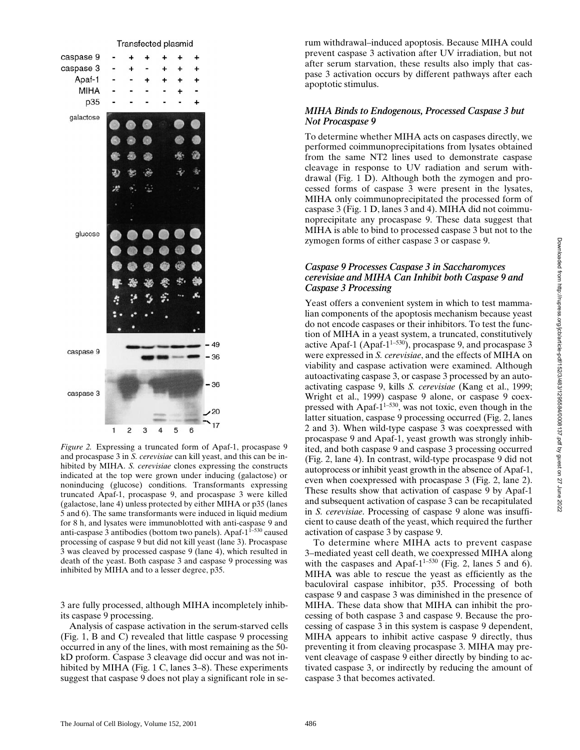

*Figure 2.* Expressing a truncated form of Apaf-1, procaspase 9 and procaspase 3 in *S. cerevisiae* can kill yeast, and this can be inhibited by MIHA. *S. cerevisiae* clones expressing the constructs indicated at the top were grown under inducing (galactose) or noninducing (glucose) conditions. Transformants expressing truncated Apaf-1, procaspase 9, and procaspase 3 were killed (galactose, lane 4) unless protected by either MIHA or p35 (lanes 5 and 6). The same transformants were induced in liquid medium for 8 h, and lysates were immunoblotted with anti-caspase 9 and anti-caspase 3 antibodies (bottom two panels). Apaf- $1^{1-530}$  caused processing of caspase 9 but did not kill yeast (lane 3). Procaspase 3 was cleaved by processed caspase 9 (lane 4), which resulted in death of the yeast. Both caspase 3 and caspase 9 processing was inhibited by MIHA and to a lesser degree, p35.

3 are fully processed, although MIHA incompletely inhibits caspase 9 processing.

Analysis of caspase activation in the serum-starved cells (Fig. 1, B and C) revealed that little caspase 9 processing occurred in any of the lines, with most remaining as the 50 kD proform. Caspase 3 cleavage did occur and was not inhibited by MIHA (Fig. 1 C, lanes 3–8). These experiments suggest that caspase 9 does not play a significant role in serum withdrawal–induced apoptosis. Because MIHA could prevent caspase 3 activation after UV irradiation, but not after serum starvation, these results also imply that caspase 3 activation occurs by different pathways after each apoptotic stimulus.

#### *MIHA Binds to Endogenous, Processed Caspase 3 but Not Procaspase 9*

To determine whether MIHA acts on caspases directly, we performed coimmunoprecipitations from lysates obtained from the same NT2 lines used to demonstrate caspase cleavage in response to UV radiation and serum withdrawal (Fig. 1 D). Although both the zymogen and processed forms of caspase 3 were present in the lysates, MIHA only coimmunoprecipitated the processed form of caspase 3 (Fig. 1 D, lanes 3 and 4). MIHA did not coimmunoprecipitate any procaspase 9. These data suggest that MIHA is able to bind to processed caspase 3 but not to the zymogen forms of either caspase 3 or caspase 9.

#### *Caspase 9 Processes Caspase 3 in Saccharomyces cerevisiae and MIHA Can Inhibit both Caspase 9 and Caspase 3 Processing*

Yeast offers a convenient system in which to test mammalian components of the apoptosis mechanism because yeast do not encode caspases or their inhibitors. To test the function of MIHA in a yeast system, a truncated, constitutively active Apaf-1 (Apaf-1<sup>1-530</sup>), procaspase 9, and procaspase 3 were expressed in *S. cerevisiae*, and the effects of MIHA on viability and caspase activation were examined. Although autoactivating caspase 3, or caspase 3 processed by an autoactivating caspase 9, kills *S. cerevisiae* (Kang et al., 1999; Wright et al., 1999) caspase 9 alone, or caspase 9 coexpressed with Apaf- $1^{1-530}$ , was not toxic, even though in the latter situation, caspase 9 processing occurred (Fig. 2, lanes 2 and 3). When wild-type caspase 3 was coexpressed with procaspase 9 and Apaf-1, yeast growth was strongly inhibited, and both caspase 9 and caspase 3 processing occurred (Fig. 2, lane 4). In contrast, wild-type procaspase 9 did not autoprocess or inhibit yeast growth in the absence of Apaf-1, even when coexpressed with procaspase 3 (Fig. 2, lane 2). These results show that activation of caspase 9 by Apaf-1 and subsequent activation of caspase 3 can be recapitulated in *S. cerevisiae*. Processing of caspase 9 alone was insufficient to cause death of the yeast, which required the further activation of caspase 3 by caspase 9.

To determine where MIHA acts to prevent caspase 3–mediated yeast cell death, we coexpressed MIHA along with the caspases and Apaf- $1^{1-530}$  (Fig. 2, lanes 5 and 6). MIHA was able to rescue the yeast as efficiently as the baculoviral caspase inhibitor, p35. Processing of both caspase 9 and caspase 3 was diminished in the presence of MIHA. These data show that MIHA can inhibit the processing of both caspase 3 and caspase 9. Because the processing of caspase 3 in this system is caspase 9 dependent, MIHA appears to inhibit active caspase 9 directly, thus preventing it from cleaving procaspase 3. MIHA may prevent cleavage of caspase 9 either directly by binding to activated caspase 3, or indirectly by reducing the amount of caspase 3 that becomes activated.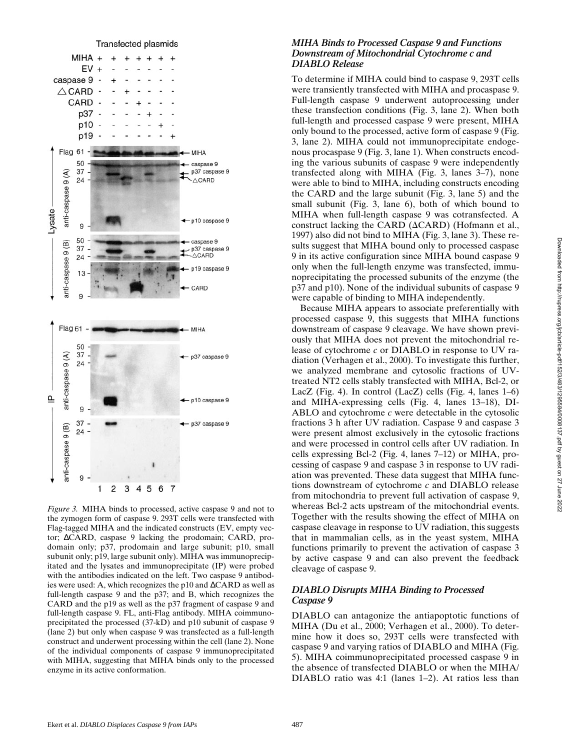

*Figure 3.* MIHA binds to processed, active caspase 9 and not to the zymogen form of caspase 9. 293T cells were transfected with Flag-tagged MIHA and the indicated constructs (EV, empty vector; ∆CARD, caspase 9 lacking the prodomain; CARD, prodomain only; p37, prodomain and large subunit; p10, small subunit only; p19, large subunit only). MIHA was immunoprecipitated and the lysates and immunoprecipitate (IP) were probed with the antibodies indicated on the left. Two caspase 9 antibodies were used: A, which recognizes the p10 and ∆CARD as well as full-length caspase 9 and the p37; and B, which recognizes the CARD and the p19 as well as the p37 fragment of caspase 9 and full-length caspase 9. FL, anti-Flag antibody. MIHA coimmunoprecipitated the processed (37-kD) and p10 subunit of caspase 9 (lane 2) but only when caspase 9 was transfected as a full-length construct and underwent processing within the cell (lane 2). None of the individual components of caspase 9 immunoprecipitated with MIHA, suggesting that MIHA binds only to the processed enzyme in its active conformation.

#### *MIHA Binds to Processed Caspase 9 and Functions Downstream of Mitochondrial Cytochrome c and DIABLO Release*

To determine if MIHA could bind to caspase 9, 293T cells were transiently transfected with MIHA and procaspase 9. Full-length caspase 9 underwent autoprocessing under these transfection conditions (Fig. 3, lane 2). When both full-length and processed caspase 9 were present, MIHA only bound to the processed, active form of caspase 9 (Fig. 3, lane 2). MIHA could not immunoprecipitate endogenous procaspase 9 (Fig. 3, lane 1). When constructs encoding the various subunits of caspase 9 were independently transfected along with MIHA (Fig. 3, lanes 3–7), none were able to bind to MIHA, including constructs encoding the CARD and the large subunit (Fig. 3, lane 5) and the small subunit (Fig. 3, lane 6), both of which bound to MIHA when full-length caspase 9 was cotransfected. A construct lacking the CARD ( $\triangle$ CARD) (Hofmann et al., 1997) also did not bind to MIHA (Fig. 3, lane 3). These results suggest that MIHA bound only to processed caspase 9 in its active configuration since MIHA bound caspase 9 only when the full-length enzyme was transfected, immunoprecipitating the processed subunits of the enzyme (the p37 and p10). None of the individual subunits of caspase 9 were capable of binding to MIHA independently.

Because MIHA appears to associate preferentially with processed caspase 9, this suggests that MIHA functions downstream of caspase 9 cleavage. We have shown previously that MIHA does not prevent the mitochondrial release of cytochrome *c* or DIABLO in response to UV radiation (Verhagen et al., 2000). To investigate this further, we analyzed membrane and cytosolic fractions of UVtreated NT2 cells stably transfected with MIHA, Bcl-2, or LacZ (Fig. 4). In control (LacZ) cells (Fig. 4, lanes  $1-6$ ) and MIHA-expressing cells (Fig. 4, lanes 13–18), DI-ABLO and cytochrome *c* were detectable in the cytosolic fractions 3 h after UV radiation. Caspase 9 and caspase 3 were present almost exclusively in the cytosolic fractions and were processed in control cells after UV radiation. In cells expressing Bcl-2 (Fig. 4, lanes 7–12) or MIHA, processing of caspase 9 and caspase 3 in response to UV radiation was prevented. These data suggest that MIHA functions downstream of cytochrome *c* and DIABLO release from mitochondria to prevent full activation of caspase 9, whereas Bcl-2 acts upstream of the mitochondrial events. Together with the results showing the effect of MIHA on caspase cleavage in response to UV radiation, this suggests that in mammalian cells, as in the yeast system, MIHA functions primarily to prevent the activation of caspase 3 by active caspase 9 and can also prevent the feedback cleavage of caspase 9.

#### *DIABLO Disrupts MIHA Binding to Processed Caspase 9*

DIABLO can antagonize the antiapoptotic functions of MIHA (Du et al., 2000; Verhagen et al., 2000). To determine how it does so, 293T cells were transfected with caspase 9 and varying ratios of DIABLO and MIHA (Fig. 5). MIHA coimmunoprecipitated processed caspase 9 in the absence of transfected DIABLO or when the MIHA/ DIABLO ratio was 4:1 (lanes 1–2). At ratios less than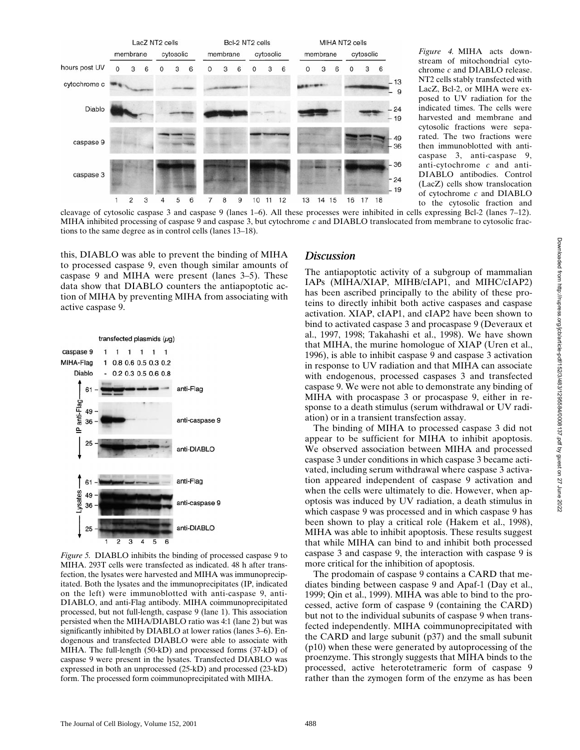

*Figure 4.* MIHA acts downstream of mitochondrial cytochrome *c* and DIABLO release. NT2 cells stably transfected with LacZ, Bcl-2, or MIHA were exposed to UV radiation for the indicated times. The cells were harvested and membrane and cytosolic fractions were separated. The two fractions were then immunoblotted with anticaspase 3, anti-caspase 9, anti-cytochrome *c* and anti-DIABLO antibodies. Control (LacZ) cells show translocation of cytochrome *c* and DIABLO to the cytosolic fraction and

cleavage of cytosolic caspase 3 and caspase 9 (lanes 1–6). All these processes were inhibited in cells expressing Bcl-2 (lanes 7–12). MIHA inhibited processing of caspase 9 and caspase 3, but cytochrome *c* and DIABLO translocated from membrane to cytosolic fractions to the same degree as in control cells (lanes 13–18).

this, DIABLO was able to prevent the binding of MIHA to processed caspase 9, even though similar amounts of caspase 9 and MIHA were present (lanes 3–5). These data show that DIABLO counters the antiapoptotic action of MIHA by preventing MIHA from associating with active caspase 9.



*Figure 5.* DIABLO inhibits the binding of processed caspase 9 to MIHA. 293T cells were transfected as indicated. 48 h after transfection, the lysates were harvested and MIHA was immunoprecipitated. Both the lysates and the immunoprecipitates (IP, indicated on the left) were immunoblotted with anti-caspase 9, anti-DIABLO, and anti-Flag antibody. MIHA coimmunoprecipitated processed, but not full-length, caspase 9 (lane 1). This association persisted when the MIHA/DIABLO ratio was 4:1 (lane 2) but was significantly inhibited by DIABLO at lower ratios (lanes 3–6). Endogenous and transfected DIABLO were able to associate with MIHA. The full-length (50-kD) and processed forms (37-kD) of caspase 9 were present in the lysates. Transfected DIABLO was expressed in both an unprocessed (25-kD) and processed (23-kD) form. The processed form coimmunoprecipitated with MIHA.

#### *Discussion*

The antiapoptotic activity of a subgroup of mammalian IAPs (MIHA/XIAP, MIHB/cIAP1, and MIHC/cIAP2) has been ascribed principally to the ability of these proteins to directly inhibit both active caspases and caspase activation. XIAP, cIAP1, and cIAP2 have been shown to bind to activated caspase 3 and procaspase 9 (Deveraux et al., 1997, 1998; Takahashi et al., 1998). We have shown that MIHA, the murine homologue of XIAP (Uren et al., 1996), is able to inhibit caspase 9 and caspase 3 activation in response to UV radiation and that MIHA can associate with endogenous, processed caspases 3 and transfected caspase 9. We were not able to demonstrate any binding of MIHA with procaspase 3 or procaspase 9, either in response to a death stimulus (serum withdrawal or UV radiation) or in a transient transfection assay.

The binding of MIHA to processed caspase 3 did not appear to be sufficient for MIHA to inhibit apoptosis. We observed association between MIHA and processed caspase 3 under conditions in which caspase 3 became activated, including serum withdrawal where caspase 3 activation appeared independent of caspase 9 activation and when the cells were ultimately to die. However, when apoptosis was induced by UV radiation, a death stimulus in which caspase 9 was processed and in which caspase 9 has been shown to play a critical role (Hakem et al., 1998), MIHA was able to inhibit apoptosis. These results suggest that while MIHA can bind to and inhibit both processed caspase 3 and caspase 9, the interaction with caspase 9 is more critical for the inhibition of apoptosis.

The prodomain of caspase 9 contains a CARD that mediates binding between caspase 9 and Apaf-1 (Day et al., 1999; Qin et al., 1999). MIHA was able to bind to the processed, active form of caspase 9 (containing the CARD) but not to the individual subunits of caspase 9 when transfected independently. MIHA coimmunoprecipitated with the CARD and large subunit (p37) and the small subunit (p10) when these were generated by autoprocessing of the proenzyme. This strongly suggests that MIHA binds to the processed, active heterotetrameric form of caspase 9 rather than the zymogen form of the enzyme as has been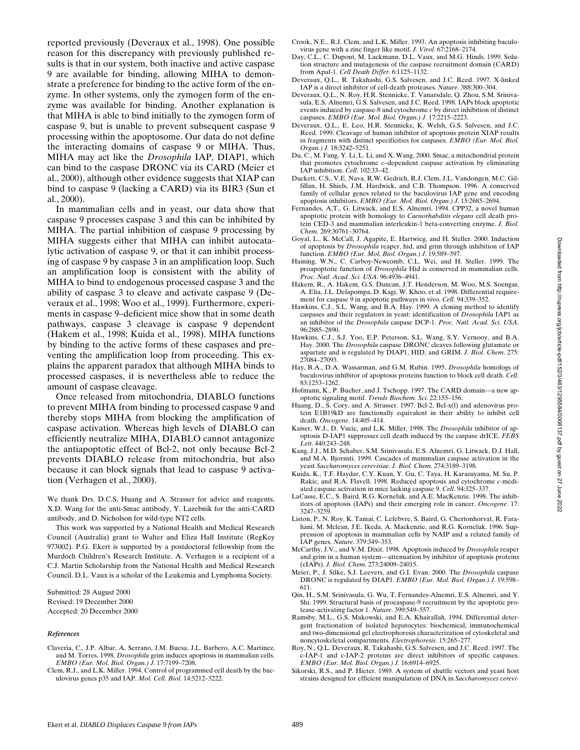reported previously (Deveraux et al., 1998). One possible reason for this discrepancy with previously published results is that in our system, both inactive and active caspase 9 are available for binding, allowing MIHA to demonstrate a preference for binding to the active form of the enzyme. In other systems, only the zymogen form of the enzyme was available for binding. Another explanation is that MIHA is able to bind initially to the zymogen form of caspase 9, but is unable to prevent subsequent caspase 9 processing within the apoptosome. Our data do not define the interacting domains of caspase 9 or MIHA. Thus, MIHA may act like the *Drosophila* IAP, DIAP1, which can bind to the caspase DRONC via its CARD (Meier et al., 2000), although other evidence suggests that XIAP can bind to caspase 9 (lacking a CARD) via its BIR3 (Sun et al., 2000).

In mammalian cells and in yeast, our data show that caspase 9 processes caspase 3 and this can be inhibited by MIHA. The partial inhibition of caspase 9 processing by MIHA suggests either that MIHA can inhibit autocatalytic activation of caspase 9, or that it can inhibit processing of caspase 9 by caspase 3 in an amplification loop. Such an amplification loop is consistent with the ability of MIHA to bind to endogenous processed caspase 3 and the ability of caspase 3 to cleave and activate caspase 9 (Deveraux et al., 1998; Woo et al., 1999). Furthermore, experiments in caspase 9–deficient mice show that in some death pathways, caspase 3 cleavage is caspase 9 dependent (Hakem et al., 1998; Kuida et al., 1998). MIHA functions by binding to the active forms of these caspases and preventing the amplification loop from proceeding. This explains the apparent paradox that although MIHA binds to processed caspases, it is nevertheless able to reduce the amount of caspase cleavage.

Once released from mitochondria, DIABLO functions to prevent MIHA from binding to processed caspase 9 and thereby stops MIHA from blocking the amplification of caspase activation. Whereas high levels of DIABLO can efficiently neutralize MIHA, DIABLO cannot antagonize the antiapoptotic effect of Bcl-2, not only because Bcl-2 prevents DIABLO release from mitochondria, but also because it can block signals that lead to caspase 9 activation (Verhagen et al., 2000).

We thank Drs. D.C.S. Huang and A. Strasser for advice and reagents, X.D. Wang for the anti-Smac antibody, Y. Lazebnik for the anti-CARD antibody, and D. Nicholson for wild-type NT2 cells.

This work was supported by a National Health and Medical Research Council (Australia) grant to Walter and Eliza Hall Institute (RegKey 973002). P.G. Ekert is supported by a postdoctoral fellowship from the Murdoch Children's Research Institute. A. Verhagen is a recipient of a C.J. Martin Scholarship from the National Health and Medical Research Council. D.L. Vaux is a scholar of the Leukemia and Lymphoma Society.

Submitted: 28 August 2000 Revised: 19 December 2000 Accepted: 20 December 2000

#### *References*

- Claveria, C., J.P. Albar, A. Serrano, J.M. Buesa, J.L. Barbero, A.C. Martinez, and M. Torres. 1998. *Drosophila* grim induces apoptosis in mammalian cells. *EMBO (Eur. Mol. Biol. Organ.) J.* 17:7199–7208.
- Clem, R.J., and L.K. Miller. 1994. Control of programmed cell death by the baculovirus genes p35 and IAP. *Mol. Cell. Biol*. 14:5212–5222.
- Crook, N.E., R.J. Clem, and L.K. Miller. 1993. An apoptosis inhibiting baculovirus gene with a zinc finger like motif. *J. Virol*. 67:2168–2174.
- Day, C.L., C. Dupont, M. Lackmann, D.L. Vaux, and M.G. Hinds. 1999. Solution structure and mutagenesis of the caspase recruitment domain (CARD) from Apaf-1. *Cell Death Differ*. 6:1125–1132.
- Deveraux, Q.L., R. Takahashi, G.S. Salvesen, and J.C. Reed. 1997. X-linked IAP is a direct inhibitor of cell-death proteases. *Nature*. 388:300–304.
- Deveraux, Q.L., N. Roy, H.R. Stennicke, T. Vanarsdale, Q. Zhou, S.M. Srinivasula, E.S. Alnemri, G.S. Salvesen, and J.C. Reed. 1998. IAPs block apoptotic events induced by caspase-8 and cytochrome *c* by direct inhibition of distinct caspases. *EMBO (Eur. Mol. Biol. Organ.) J.* 17:2215–2223.
- Deveraux, Q.L., E. Leo, H.R. Stennicke, K. Welsh, G.S. Salvesen, and J.C. Reed. 1999. Cleavage of human inhibitor of apoptosis protein XIAP results in fragments with distinct specificities for caspases. *EMBO (Eur. Mol. Biol. Organ.) J.* 18:5242–5251.
- Du, C., M. Fang, Y. Li, L. Li, and X. Wang. 2000. Smac, a mitochondrial protein that promotes cytochrome *c–*dependent caspase activation by eliminating IAP inhibition. *Cell*. 102:33–42.
- Duckett, C.S., V.E. Nava, R.W. Gedrich, R.J. Clem, J.L. Vandongen, M.C. Gilfillan, H. Shiels, J.M. Hardwick, and C.B. Thompson. 1996. A conserved family of cellular genes related to the baculovirus IAP gene and encoding apoptosis inhibitors. *EMBO (Eur. Mol. Biol. Organ.) J*. 15:2685–2694.
- Fernandes, A.T., G. Litwack, and E.S. Alnemri. 1994. CPP32, a novel human apoptotic protein with homology to *Caenorhabditis elegans* cell death protein CED-3 and mammalian interleukin-1 beta-converting enzyme. *J. Biol. Chem.* 269:30761–30764.
- Goyal, L., K. McCall, J. Agapite, E. Hartwieg, and H. Steller. 2000. Induction of apoptosis by *Drosophila* reaper, hid, and grim through inhibition of IAP function. *EMBO (Eur. Mol. Biol. Organ.) J*. 19:589–597.
- Haining, W.N., C. Carboy-Newcomb, C.L. Wei, and H. Steller. 1999. The proapoptotic function of *Drosophila* Hid is conserved in mammalian cells. *Proc. Natl. Acad. Sci. USA*. 96:4936–4941.
- Hakem, R., A. Hakem, G.S. Duncan, J.T. Henderson, M. Woo, M.S. Soengas, A. Elia, J.L. Delapompa, D. Kagi, W. Khoo, et al. 1998. Differential requirement for caspase 9 in apoptotic pathways in vivo. *Cell*. 94:339–352.
- Hawkins, C.J., S.L. Wang, and B.A. Hay. 1999. A cloning method to identify caspases and their regulators in yeast: identification of *Drosophila* IAP1 as an inhibitor of the *Drosophila* caspase DCP-1. *Proc. Natl. Acad. Sci. USA*. 96:2885–2890.
- Hawkins, C.J., S.J. Yoo, E.P. Peterson, S.L. Wang, S.Y. Vernooy, and B.A. Hay. 2000. The *Drosophila* caspase DRONC cleaves following glutamate or aspartate and is regulated by DIAP1, HID, and GRIM. *J. Biol. Chem*. 275: 27084–27093.
- Hay, B.A., D.A. Wassarman, and G.M. Rubin. 1995. *Drosophila* homologs of baculovirus inhibitor of apoptosis proteins function to block cell death. *Cell*. 83:1253–1262.
- Hofmann, K., P. Bucher, and J. Tschopp. 1997. The CARD domain—a new apoptotic signaling motif. *Trends Biochem. Sci*. 22:155–156.
- Huang, D., S. Cory, and A. Strasser. 1997. Bcl-2, Bcl-x(l) and adenovirus protein E1B19kD are functionally equivalent in their ability to inhibit cell death. *Oncogene*. 14:405–414.
- Kaiser, W.J., D. Vucic, and L.K. Miller. 1998. The *Drosophila* inhibitor of apoptosis D-IAP1 suppresses cell death induced by the caspase drICE. *FEBS Lett*. 440:243–248.
- Kang, J.J., M.D. Schaber, S.M. Srinivasula, E.S. Alnemri, G. Litwack, D.J. Hall, and M.A. Bjornsti. 1999. Cascades of mammalian caspase activation in the yeast *Saccharomyces cerevisiae*. *J. Biol. Chem.* 274:3189–3198.
- Kuida, K., T.F. Haydar, C.Y. Kuan, Y. Gu, C. Taya, H. Karasuyama, M. Su, P. Rakic, and R.A. Flavell. 1998. Reduced apoptosis and cytochrome *c*-mediated caspase activation in mice lacking caspase 9. *Cell*. 94:325–337.
- LaCasse, E.C., S. Baird, R.G. Korneluk, and A.E. MacKenzie. 1998. The inhibitors of apoptosis (IAPs) and their emerging role in cancer. *Oncogene*. 17: 3247–3259.
- Liston, P., N. Roy, K. Tamai, C. Lefebvre, S. Baird, G. Chertonhorvat, R. Farahani, M. Mclean, J.E. Ikeda, A. Mackenzie, and R.G. Korneluk. 1996. Suppression of apoptosis in mammalian cells by NAIP and a related family of IAP genes. *Nature*. 379:349–353.
- McCarthy, J.V., and V.M. Dixit. 1998. Apoptosis induced by *Drosophila* reaper and grim in a human system—attenuation by inhibitor of apoptosis proteins (cIAPs). *J. Biol. Chem*. 273:24009–24015.
- Meier, P., J. Silke, S.J. Leevers, and G.I. Evan. 2000. The *Drosophila* caspase DRONC is regulated by DIAP1. *EMBO (Eur. Mol. Biol. Organ.) J*. 19:598– 611.
- Qin, H., S.M. Srinivasula, G. Wu, T. Fernandes-Alnemri, E.S. Alnemri, and Y. Shi. 1999. Structural basis of procaspase-9 recruitment by the apoptotic protease-activating factor 1. *Nature*. 399:549–557.
- Ramsby, M.L., G.S. Makowski, and E.A. Khairallah. 1994. Differential detergent fractionation of isolated hepatocytes: biochemical, immunochemical and two-dimensional gel electrophoresis characterization of cytoskeletal and noncytoskeletal compartments. *Electrophoresis*. 15:265–277.
- Roy, N., Q.L. Deveraux, R. Takahashi, G.S. Salvesen, and J.C. Reed. 1997. The c-IAP-1 and c-IAP-2 proteins are direct inhibitors of specific caspases. *EMBO (Eur. Mol. Biol. Organ.) J.* 16:6914–6925.
- Sikorski, R.S., and P. Hieter. 1989. A system of shuttle vectors and yeast host strains designed for efficient manipulation of DNA in *Saccharomyces cerevi-*